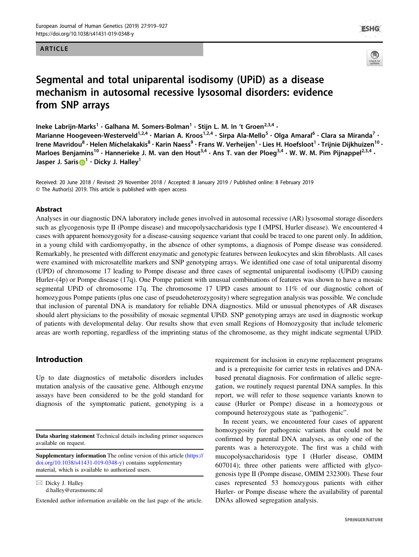### ARTICLE



**ESHG** 

# Segmental and total uniparental isodisomy (UPiD) as a disease mechanism in autosomal recessive lysosomal disorders: evidence from SNP arrays

Ineke Labrijn-Marks<sup>1</sup> • Galhana M. Somers-Bolman<sup>1</sup> • Stijn L. M. In 't Groen<sup>2,3,4</sup> •

Marianne Hoogeveen-Westerveld<sup>1,2,4</sup> • Marian A. Kroos<sup>1,2,4</sup> • Sirpa Ala-Mello<sup>5</sup> • Olga Amaral<sup>6</sup> • Clara sa Miranda<sup>7</sup> • Irene Mavridou<sup>8</sup> • Helen Michelakakis<sup>8</sup> • Karin Naess<sup>9</sup> • Frans W. Verheijen<sup>1</sup> • Lies H. Hoefsloot<sup>1</sup> • Trijnie Dijkhuizen<sup>10</sup> • Marloes Benjamins<sup>10</sup> • Hannerieke J. M. van den Hout<sup>3,4</sup> • Ans T. van der Ploeg<sup>3,4</sup> • W. W. M. Pim Pijnappel<sup>2,3,4</sup> • Jasper J. Saris [1](http://orcid.org/0000-0001-9232-267X) · Dicky J. Halley<sup>1</sup>

Received: 20 June 2018 / Revised: 29 November 2018 / Accepted: 8 January 2019 / Published online: 8 February 2019 © The Author(s) 2019. This article is published with open access

#### Abstract

Analyses in our diagnostic DNA laboratory include genes involved in autosomal recessive (AR) lysosomal storage disorders such as glycogenosis type II (Pompe disease) and mucopolysaccharidosis type I (MPSI, Hurler disease). We encountered 4 cases with apparent homozygosity for a disease-causing sequence variant that could be traced to one parent only. In addition, in a young child with cardiomyopathy, in the absence of other symptoms, a diagnosis of Pompe disease was considered. Remarkably, he presented with different enzymatic and genotypic features between leukocytes and skin fibroblasts. All cases were examined with microsatellite markers and SNP genotyping arrays. We identified one case of total uniparental disomy (UPD) of chromosome 17 leading to Pompe disease and three cases of segmental uniparental isodisomy (UPiD) causing Hurler-(4p) or Pompe disease (17q). One Pompe patient with unusual combinations of features was shown to have a mosaic segmental UPiD of chromosome 17q. The chromosome 17 UPD cases amount to 11% of our diagnostic cohort of homozygous Pompe patients (plus one case of pseudoheterozygosity) where segregation analysis was possible. We conclude that inclusion of parental DNA is mandatory for reliable DNA diagnostics. Mild or unusual phenotypes of AR diseases should alert physicians to the possibility of mosaic segmental UPiD. SNP genotyping arrays are used in diagnostic workup of patients with developmental delay. Our results show that even small Regions of Homozygosity that include telomeric areas are worth reporting, regardless of the imprinting status of the chromosome, as they might indicate segmental UPiD.

# Introduction

Up to date diagnostics of metabolic disorders includes mutation analysis of the causative gene. Although enzyme assays have been considered to be the gold standard for diagnosis of the symptomatic patient, genotyping is a

 $\boxtimes$  Dicky J. Halley [d.halley@erasmusmc.nl](mailto:d.halley@erasmusmc.nl)

Extended author information available on the last page of the article.

requirement for inclusion in enzyme replacement programs and is a prerequisite for carrier tests in relatives and DNAbased prenatal diagnosis. For confirmation of allelic segregation, we routinely request parental DNA samples. In this report, we will refer to those sequence variants known to cause (Hurler or Pompe) disease in a homozygous or compound heterozygous state as "pathogenic".

In recent years, we encountered four cases of apparent homozygosity for pathogenic variants that could not be confirmed by parental DNA analyses, as only one of the parents was a heterozygote. The first was a child with mucopolysaccharidosis type I (Hurler disease, OMIM 607014); three other patients were afflicted with glycogenosis type II (Pompe disease, OMIM 232300). These four cases represented 53 homozygous patients with either Hurler- or Pompe disease where the availability of parental DNAs allowed segregation analysis.

Data sharing statement Technical details including primer sequences available on request.

Supplementary information The online version of this article ([https://](https://doi.org/10.1038/s41431-019-0348-y) [doi.org/10.1038/s41431-019-0348-y\)](https://doi.org/10.1038/s41431-019-0348-y) contains supplementary material, which is available to authorized users.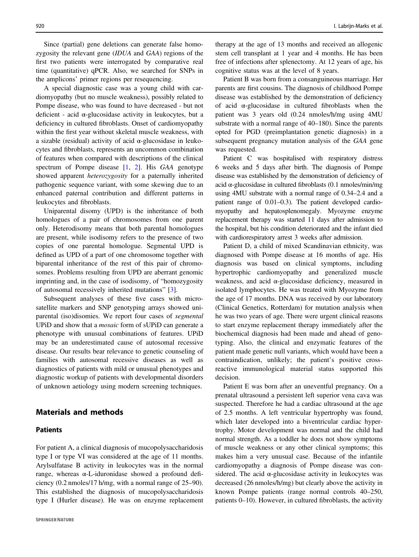Since (partial) gene deletions can generate false homozygosity the relevant gene (IDUA and GAA) regions of the first two patients were interrogated by comparative real time (quantitative) qPCR. Also, we searched for SNPs in the amplicons' primer regions per resequencing.

A special diagnostic case was a young child with cardiomyopathy (but no muscle weakness), possibly related to Pompe disease, who was found to have decreased - but not deficient - acid  $\alpha$ -glucosidase activity in leukocytes, but a deficiency in cultured fibroblasts. Onset of cardiomyopathy within the first year without skeletal muscle weakness, with a sizable (residual) activity of acid  $\alpha$ -glucosidase in leukocytes and fibroblasts, represents an uncommon combination of features when compared with descriptions of the clinical spectrum of Pompe disease [\[1](#page-7-0), [2](#page-7-0)]. His GAA genotype showed apparent *heterozygosity* for a paternally inherited pathogenic sequence variant, with some skewing due to an enhanced paternal contribution and different patterns in leukocytes and fibroblasts.

Uniparental disomy (UPD) is the inheritance of both homologues of a pair of chromosomes from one parent only. Heterodisomy means that both parental homologues are present, while isodisomy refers to the presence of two copies of one parental homologue. Segmental UPD is defined as UPD of a part of one chromosome together with biparental inheritance of the rest of this pair of chromosomes. Problems resulting from UPD are aberrant genomic imprinting and, in the case of isodisomy, of "homozygosity of autosomal recessively inherited mutations" [[3\]](#page-7-0).

Subsequent analyses of these five cases with microsatellite markers and SNP genotyping arrays showed uniparental (iso)disomies. We report four cases of segmental UPiD and show that a mosaic form of sUPiD can generate a phenotype with unusual combinations of features. UPiD may be an underestimated cause of autosomal recessive disease. Our results bear relevance to genetic counseling of families with autosomal recessive diseases as well as diagnostics of patients with mild or unusual phenotypes and diagnostic workup of patients with developmental disorders of unknown aetiology using modern screening techniques.

### Materials and methods

### **Patients**

For patient A, a clinical diagnosis of mucopolysaccharidosis type I or type VI was considered at the age of 11 months. Arylsulfatase B activity in leukocytes was in the normal range, whereas α-L-iduronidase showed a profound deficiency (0.2 nmoles/17 h/mg, with a normal range of 25–90). This established the diagnosis of mucopolysaccharidosis type I (Hurler disease). He was on enzyme replacement

therapy at the age of 13 months and received an allogenic stem cell transplant at 1 year and 4 months. He has been free of infections after splenectomy. At 12 years of age, his cognitive status was at the level of 8 years.

Patient B was born from a consanguineous marriage. Her parents are first cousins. The diagnosis of childhood Pompe disease was established by the demonstration of deficiency of acid α-glucosidase in cultured fibroblasts when the patient was 3 years old (0.24 nmoles/h/mg using 4MU substrate with a normal range of 40–180). Since the parents opted for PGD (preimplantation genetic diagnosis) in a subsequent pregnancy mutation analysis of the GAA gene was requested.

Patient C was hospitalised with respiratory distress 6 weeks and 5 days after birth. The diagnosis of Pompe disease was established by the demonstration of deficiency of acid  $\alpha$ -glucosidase in cultured fibroblasts (0.1 nmoles/min/mg using 4MU substrate with a normal range of 0.34–2.4 and a patient range of 0.01–0.3). The patient developed cardiomyopathy and hepatosplenomegaly. Myozyme enzyme replacement therapy was started 11 days after admission to the hospital, but his condition deteriorated and the infant died with cardiorespiratory arrest 3 weeks after admission.

Patient D, a child of mixed Scandinavian ethnicity, was diagnosed with Pompe disease at 16 months of age. His diagnosis was based on clinical symptoms, including hypertrophic cardiomyopathy and generalized muscle weakness, and acid  $\alpha$ -glucosidase deficiency, measured in isolated lymphocytes. He was treated with Myozyme from the age of 17 months. DNA was received by our laboratory (Clinical Genetics, Rotterdam) for mutation analysis when he was two years of age. There were urgent clinical reasons to start enzyme replacement therapy immediately after the biochemical diagnosis had been made and ahead of genotyping. Also, the clinical and enzymatic features of the patient made genetic null variants, which would have been a contraindication, unlikely; the patient's positive crossreactive immunological material status supported this decision.

Patient E was born after an uneventful pregnancy. On a prenatal ultrasound a persistent left superior vena cava was suspected. Therefore he had a cardiac ultrasound at the age of 2.5 months. A left ventricular hypertrophy was found, which later developed into a biventricular cardiac hypertrophy. Motor development was normal and the child had normal strength. As a toddler he does not show symptoms of muscle weakness or any other clinical symptoms; this makes him a very unusual case. Because of the infantile cardiomyopathy a diagnosis of Pompe disease was considered. The acid  $\alpha$ -glucosidase activity in leukocytes was decreased (26 nmoles/h/mg) but clearly above the activity in known Pompe patients (range normal controls 40–250, patients 0–10). However, in cultured fibroblasts, the activity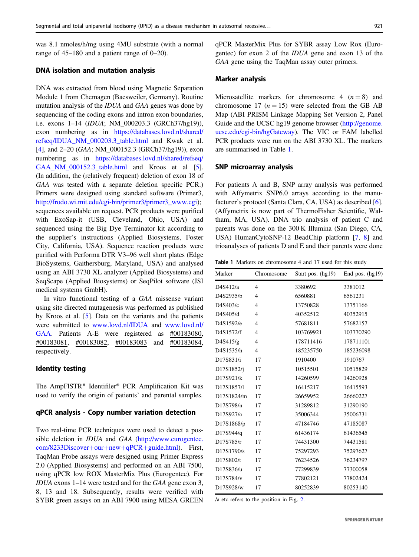<span id="page-2-0"></span>was 8.1 nmoles/h/mg using 4MU substrate (with a normal range of 45–180 and a patient range of 0–20).

### DNA isolation and mutation analysis

DNA was extracted from blood using Magnetic Separation Module 1 from Chemagen (Baesweiler, Germany). Routine mutation analysis of the IDUA and GAA genes was done by sequencing of the coding exons and intron exon boundaries, i.e. exons 1–14 (IDUA; NM\_000203.3 (GRCh37/hg19)), exon numbering as in [https://databases.lovd.nl/shared/](https://databases.lovd.nl/shared/refseq/IDUA_NM_000203.3_table.html) [refseq/IDUA\\_NM\\_000203.3\\_table.html](https://databases.lovd.nl/shared/refseq/IDUA_NM_000203.3_table.html) and Kwak et al. [\[4](#page-7-0)], and 2–20 (GAA; NM\_000152.3 (GRCh37/hg19)), exon numbering as in [https://databases.lovd.nl/shared/refseq/](https://databases.lovd.nl/shared/refseq/GAA_NM_000152.3_table.html) [GAA\\_NM\\_000152.3\\_table.html](https://databases.lovd.nl/shared/refseq/GAA_NM_000152.3_table.html) and Kroos et al [\[5](#page-7-0)]. (In addition, the (relatively frequent) deletion of exon 18 of GAA was tested with a separate deletion specific PCR.) Primers were designed using standard software (Primer3, [http://frodo.wi.mit.edu/cgi-bin/primer3/primer3\\_www.cgi](http://frodo.wi.mit.edu/cgi-bin/primer3/primer3_www.cgi)); sequences available on request. PCR products were purified with ExoSap-it (USB, Cleveland, Ohio, USA) and sequenced using the Big Dye Terminator kit according to the supplier's instructions (Applied Biosystems, Foster City, California, USA). Sequence reaction products were purified with Performa DTR V3–96 well short plates (Edge BioSystems, Gaithersburg, Maryland, USA) and analysed using an ABI 3730 XL analyzer (Applied Biosystems) and SeqScape (Applied Biosystems) or SeqPilot software (JSI medical systems GmbH).

In vitro functional testing of a GAA missense variant using site directed mutagenesis was performed as published by Kroos et al. [\[5](#page-7-0)]. Data on the variants and the patients were submitted to [www.lovd.nl/IDUA](http://www.lovd.nl/IDUA) and [www.lovd.nl/](http://www.lovd.nl/GAA) [GAA.](http://www.lovd.nl/GAA) Patients A-E were registered as #00183080, #00183081, #00183082, #00183083 and #00183084, respectively.

### Identity testing

The AmpFlSTR® Identifiler® PCR Amplification Kit was used to verify the origin of patients' and parental samples.

### qPCR analysis - Copy number variation detection

Two real-time PCR techniques were used to detect a possible deletion in IDUA and GAA ([http://www.eurogentec.](http://www.eurogentec.com/8233Discover+our+new+qPCR+guide.html) [com/8233Discover](http://www.eurogentec.com/8233Discover+our+new+qPCR+guide.html)+our+new+qPCR+guide.html). First, TaqMan Probe assays were designed using Primer Express 2.0 (Applied Biosystems) and performed on an ABI 7500, using qPCR low ROX MasterMix Plus (Eurogentec). For IDUA exons 1–14 were tested and for the GAA gene exon 3, 8, 13 and 18. Subsequently, results were verified with SYBR green assays on an ABI 7900 using MESA GREEN qPCR MasterMix Plus for SYBR assay Low Rox (Eurogentec) for exon 2 of the IDUA gene and exon 13 of the GAA gene using the TaqMan assay outer primers.

### Marker analysis

Microsatellite markers for chromosome 4  $(n = 8)$  and chromosome 17  $(n = 15)$  were selected from the GB AB Map (ABI PRISM Linkage Mapping Set Version 2, Panel Guide and the UCSC hg19 genome browser ([http://genome.](http://genome.ucsc.edu/cgi-bin/hgGateway) [ucsc.edu/cgi-bin/hgGateway](http://genome.ucsc.edu/cgi-bin/hgGateway)). The VIC or FAM labelled PCR products were run on the ABI 3730 XL. The markers are summarised in Table 1.

#### SNP microarray analysis

For patients A and B, SNP array analysis was performed with Affymetrix SNP6.0 arrays according to the manufacturer's protocol (Santa Clara, CA, USA) as described [[6\]](#page-7-0). (Affymetrix is now part of ThermoFisher Scientific, Waltham, MA, USA). DNA trio analysis of patient C and parents was done on the 300 K Illumina (San Diego, CA, USA) HumanCytoSNP-12 BeadChip platform [[7,](#page-7-0) [8\]](#page-7-0) and trioanalyses of patients D and E and their parents were done

Table 1 Markers on chromosome 4 and 17 used for this study

| Marker     | Chromosome     | Start pos. $(hg19)$ | End pos. $(hg19)$ |
|------------|----------------|---------------------|-------------------|
| D4S412/a   | $\overline{4}$ | 3380692             | 3381012           |
| D4S2935/b  | $\overline{4}$ | 6560881             | 6561231           |
| D4S403/c   | $\overline{4}$ | 13750828            | 13751166          |
| D4S405/d   | $\overline{4}$ | 40352512            | 40352915          |
| D4S1592/e  | $\overline{4}$ | 57681811            | 57682157          |
| D4S1572/f  | $\overline{4}$ | 103769921           | 103770290         |
| D4S415/g   | $\overline{4}$ | 178711416           | 178711101         |
| D4S1535/h  | $\overline{4}$ | 185235750           | 185236098         |
| D17S831/i  | 17             | 1910400             | 1910767           |
| D17S1852/j | 17             | 10515501            | 10515829          |
| D17S921/k  | 17             | 14260599            | 14260928          |
| D17S1857/1 | 17             | 16415217            | 16415593          |
| D17S1824/m | 17             | 26659952            | 26660227          |
| D17S798/n  | 17             | 31289812            | 31290190          |
| D17S927/o  | 17             | 35006344            | 35006731          |
| D17S1868/p | 17             | 47184746            | 47185087          |
| D17S944/q  | 17             | 61436174            | 61436545          |
| D17S785/r  | 17             | 74431300            | 74431581          |
| D17S1790/s | 17             | 75297293            | 75297627          |
| D17S802/t  | 17             | 76234526            | 76234797          |
| D17S836/u  | 17             | 77299839            | 77300058          |
| D17S784/v  | 17             | 77802121            | 77802424          |
| D17S928/w  | 17             | 80252839            | 80253140          |

/a etc refers to the position in Fig. [2](#page-5-0).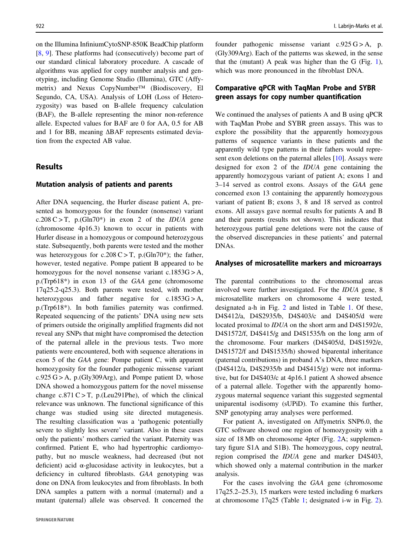on the Illumina InfiniumCytoSNP-850K BeadChip platform [\[8](#page-7-0), [9\]](#page-7-0). These platforms had (consecutively) become part of our standard clinical laboratory procedure. A cascade of algorithms was applied for copy number analysis and genotyping, including Genome Studio (Illumina), GTC (Affymetrix) and Nexus CopyNumber™ (Biodiscovery, El Segundo, CA, USA). Analysis of LOH (Loss of Heterozygosity) was based on B-allele frequency calculation (BAF), the B-allele representing the minor non-reference allele. Expected values for BAF are 0 for AA, 0.5 for AB and 1 for BB, meaning ΔBAF represents estimated deviation from the expected AB value.

# Results

### Mutation analysis of patients and parents

After DNA sequencing, the Hurler disease patient A, presented as homozygous for the founder (nonsense) variant c.208 C > T, p.(Gln70<sup>\*</sup>) in exon 2 of the *IDUA* gene (chromosome 4p16.3) known to occur in patients with Hurler disease in a homozygous or compound heterozygous state. Subsequently, both parents were tested and the mother was heterozygous for c.208 C > T, p.(Gln70\*); the father, however, tested negative. Pompe patient B appeared to be homozygous for the novel nonsense variant  $c.1853G > A$ , p.(Trp618\*) in exon 13 of the GAA gene (chromosome 17q25.2-q25.3). Both parents were tested, with mother heterozygous and father negative for c.1853G > A, p.(Trp618\*). In both families paternity was confirmed. Repeated sequencing of the patients' DNA using new sets of primers outside the originally amplified fragments did not reveal any SNPs that might have compromised the detection of the paternal allele in the previous tests. Two more patients were encountered, both with sequence alterations in exon 5 of the GAA gene: Pompe patient C, with apparent homozygosity for the founder pathogenic missense variant  $c.925$  G > A, p.(Gly309Arg), and Pompe patient D, whose DNA showed a homozygous pattern for the novel missense change c.871 C > T, p.(Leu291Phe), of which the clinical relevance was unknown. The functional significance of this change was studied using site directed mutagenesis. The resulting classification was a 'pathogenic potentially severe to slightly less severe' variant. Also in these cases only the patients' mothers carried the variant. Paternity was confirmed. Patient E, who had hypertrophic cardiomyopathy, but no muscle weakness, had decreased (but not deficient) acid  $\alpha$ -glucosidase activity in leukocytes, but a deficiency in cultured fibroblasts. GAA genotyping was done on DNA from leukocytes and from fibroblasts. In both DNA samples a pattern with a normal (maternal) and a mutant (paternal) allele was observed. It concerned the

founder pathogenic missense variant  $c.925 \text{ G} > A$ , p. (Gly309Arg). Each of the patterns was skewed, in the sense that the (mutant) A peak was higher than the G (Fig. [1\)](#page-4-0), which was more pronounced in the fibroblast DNA.

# Comparative qPCR with TaqMan Probe and SYBR green assays for copy number quantification

We continued the analyses of patients A and B using qPCR with TaqMan Probe and SYBR green assays. This was to explore the possibility that the apparently homozygous patterns of sequence variants in these patients and the apparently wild type patterns in their fathers would repre-sent exon deletions on the paternal alleles [\[10](#page-7-0)]. Assays were designed for exon 2 of the IDUA gene containing the apparently homozygous variant of patient A; exons 1 and 3–14 served as control exons. Assays of the GAA gene concerned exon 13 containing the apparently homozygous variant of patient B; exons 3, 8 and 18 served as control exons. All assays gave normal results for patients A and B and their parents (results not shown). This indicates that heterozygous partial gene deletions were not the cause of the observed discrepancies in these patients' and paternal DNAs.

#### Analyses of microsatellite markers and microarrays

The parental contributions to the chromosomal areas involved were further investigated. For the IDUA gene, 8 microsatellite markers on chromosome 4 were tested, designated a-h in Fig. [2](#page-5-0) and listed in Table [1.](#page-2-0) Of these, D4S412/a, D4S2935/b, D4S403/c and D4S405/d were located proximal to IDUA on the short arm and D4S1592/e, D4S1572/f, D4S415/g and D4S1535/h on the long arm of the chromosome. Four markers (D4S405/d, D4S1592/e, D4S1572/f and D4S1535/h) showed biparental inheritance (paternal contributions) in proband A's DNA, three markers (D4S412/a, D4S2935/b and D4S415/g) were not informative, but for D4S403/c at 4p16.1 patient A showed absence of a paternal allele. Together with the apparently homozygous maternal sequence variant this suggested segmental uniparental isodisomy (sUPiD). To examine this further, SNP genotyping array analyses were performed.

For patient A, investigated on Affymetrix SNP6.0, the GTC software showed one region of homozygosity with a size of 18 Mb on chromosome 4pter (Fig. [2A](#page-5-0); supplementary figure S1A and S1B). The homozygous, copy neutral, region comprised the IDUA gene and marker D4S403, which showed only a maternal contribution in the marker analysis.

For the cases involving the GAA gene (chromosome 17q25.2–25.3), 15 markers were tested including 6 markers at chromosome 17q25 (Table [1](#page-2-0); designated i-w in Fig. [2\)](#page-5-0).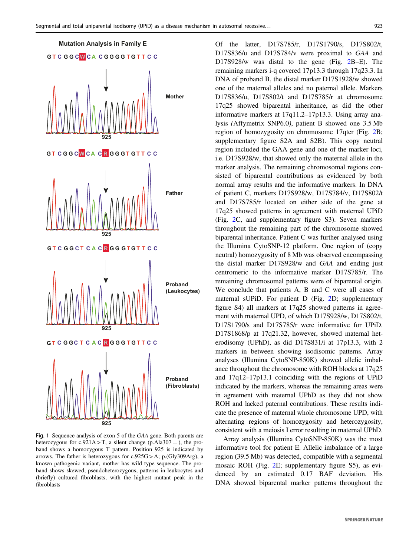<span id="page-4-0"></span>

Fig. 1 Sequence analysis of exon 5 of the GAA gene. Both parents are heterozygous for c.921A > T, a silent change (p.Ala307 = ), the proband shows a homozygous T pattern. Position 925 is indicated by arrows. The father is heterozygous for  $c.925G > A$ ; p.(Gly309Arg), a known pathogenic variant, mother has wild type sequence. The proband shows skewed, pseudoheterozygous, patterns in leukocytes and (briefly) cultured fibroblasts, with the highest mutant peak in the fibroblasts

Of the latter, D17S785/r, D17S1790/s, D17S802/t, D17S836/u and D17S784/v were proximal to GAA and D17S928/w was distal to the gene (Fig. [2B](#page-5-0)–E). The remaining markers i-q covered 17p13.3 through 17q23.3. In DNA of proband B, the distal marker D17S1928/w showed one of the maternal alleles and no paternal allele. Markers D17S836/u, D17S802/t and D17S785/r at chromosome 17q25 showed biparental inheritance, as did the other informative markers at 17q11.2–17p13.3. Using array analysis (Affymetrix SNP6.0), patient B showed one 3.5 Mb region of homozygosity on chromosome 17qter (Fig. [2B](#page-5-0); supplementary figure S2A and S2B). This copy neutral region included the GAA gene and one of the marker loci, i.e. D17S928/w, that showed only the maternal allele in the marker analysis. The remaining chromosomal regions consisted of biparental contributions as evidenced by both normal array results and the informative markers. In DNA of patient C, markers D17S928/w, D17S784/v, D17S802/t and D17S785/r located on either side of the gene at 17q25 showed patterns in agreement with maternal UPiD (Fig. [2](#page-5-0)C, and supplementary figure S3). Seven markers throughout the remaining part of the chromosome showed biparental inheritance. Patient C was further analysed using the Illumina CytoSNP-12 platform. One region of (copy neutral) homozygosity of 8 Mb was observed encompassing the distal marker D17S928/w and GAA and ending just centromeric to the informative marker D17S785/r. The remaining chromosomal patterns were of biparental origin. We conclude that patients A, B and C were all cases of maternal sUPiD. For patient D (Fig. [2D](#page-5-0); supplementary figure S4) all markers at 17q25 showed patterns in agreement with maternal UPD, of which D17S928/w, D17S802/t, D17S1790/s and D17S785/r were informative for UPiD. D17S1868/p at 17q21.32, however, showed maternal heterodisomy (UPhD), as did D17S831/i at 17p13.3, with 2 markers in between showing isodisomic patterns. Array analyses (Illumina CytoSNP-850K) showed allelic imbalance throughout the chromosome with ROH blocks at 17q25 and 17q12–17p13.1 coinciding with the regions of UPiD indicated by the markers, whereas the remaining areas were in agreement with maternal UPhD as they did not show ROH and lacked paternal contributions. These results indicate the presence of maternal whole chromosome UPD, with alternating regions of homozygosity and heterozygosity, consistent with a meiosis I error resulting in maternal UPhD.

Array analysis (Illumina CytoSNP-850K) was the most informative tool for patient E. Allelic imbalance of a large region (39.5 Mb) was detected, compatible with a segmental mosaic ROH (Fig. [2](#page-5-0)E; supplementary figure S5), as evidenced by an estimated 0.17 BAF deviation. His DNA showed biparental marker patterns throughout the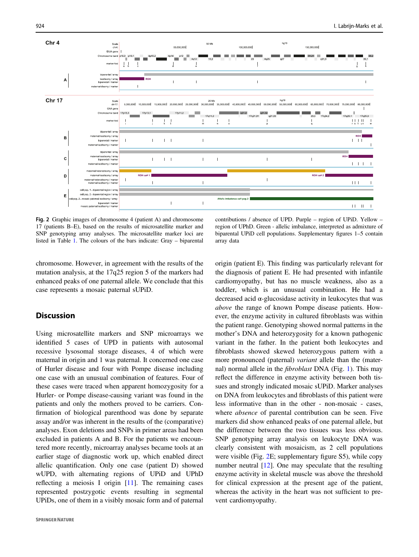<span id="page-5-0"></span>

Fig. 2 Graphic images of chromosome 4 (patient A) and chromosome 17 (patients B–E), based on the results of microsatellite marker and SNP genotyping array analyses. The microsatellite marker loci are listed in Table [1.](#page-2-0) The colours of the bars indicate: Gray – biparental

chromosome. However, in agreement with the results of the mutation analysis, at the 17q25 region 5 of the markers had enhanced peaks of one paternal allele. We conclude that this case represents a mosaic paternal sUPiD.

# **Discussion**

Using microsatellite markers and SNP microarrays we identified 5 cases of UPD in patients with autosomal recessive lysosomal storage diseases, 4 of which were maternal in origin and 1 was paternal. It concerned one case of Hurler disease and four with Pompe disease including one case with an unusual combination of features. Four of these cases were traced when apparent homozygosity for a Hurler- or Pompe disease-causing variant was found in the patients and only the mothers proved to be carriers. Confirmation of biological parenthood was done by separate assay and/or was inherent in the results of the (comparative) analyses. Exon deletions and SNPs in primer areas had been excluded in patients A and B. For the patients we encountered more recently, microarray analyses became tools at an earlier stage of diagnostic work up, which enabled direct allelic quantification. Only one case (patient D) showed wUPD, with alternating regions of UPiD and UPhD reflecting a meiosis I origin [[11\]](#page-7-0). The remaining cases represented postzygotic events resulting in segmental UPiDs, one of them in a visibly mosaic form and of paternal

contributions / absence of UPD. Purple – region of UPiD. Yellow – region of UPhD. Green - allelic imbalance, interpreted as admixture of biparental UPiD cell populations. Supplementary figures 1–5 contain array data

origin (patient E). This finding was particularly relevant for the diagnosis of patient E. He had presented with infantile cardiomyopathy, but has no muscle weakness, also as a toddler, which is an unusual combination. He had a decreased acid  $\alpha$ -glucosidase activity in leukocytes that was above the range of known Pompe disease patients. However, the enzyme activity in cultured fibroblasts was within the patient range. Genotyping showed normal patterns in the mother's DNA and heterozygosity for a known pathogenic variant in the father. In the patient both leukocytes and fibroblasts showed skewed heterozygous pattern with a more pronounced (paternal) variant allele than the (maternal) normal allele in the fibroblast DNA (Fig. [1\)](#page-4-0). This may reflect the difference in enzyme activity between both tissues and strongly indicated mosaic sUPiD. Marker analyses on DNA from leukocytes and fibroblasts of this patient were less informative than in the other - non-mosaic - cases, where absence of parental contribution can be seen. Five markers did show enhanced peaks of one paternal allele, but the difference between the two tissues was less obvious. SNP genotyping array analysis on leukocyte DNA was clearly consistent with mosaicism, as 2 cell populations were visible (Fig. 2E; supplementary figure S5), while copy number neutral [\[12](#page-7-0)]. One may speculate that the resulting enzyme activity in skeletal muscle was above the threshold for clinical expression at the present age of the patient, whereas the activity in the heart was not sufficient to prevent cardiomyopathy.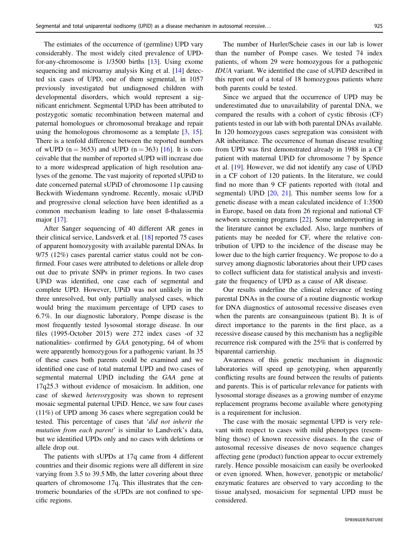The estimates of the occurrence of (germline) UPD vary considerably. The most widely cited prevalence of UPDfor-any-chromosome is 1/3500 births [[13\]](#page-7-0). Using exome sequencing and microarray analysis King et al. [\[14](#page-7-0)] detected six cases of UPD, one of them segmental, in 1057 previously investigated but undiagnosed children with developmental disorders, which would represent a significant enrichment. Segmental UPiD has been attributed to postzygotic somatic recombination between maternal and paternal homologues or chromosomal breakage and repair using the homologous chromosome as a template [\[3](#page-7-0), [15](#page-7-0)]. There is a tenfold difference between the reported numbers of wUPD (n = 3653) and sUPD (n = 363) [[16\]](#page-7-0). It is conceivable that the number of reported sUPD will increase due to a more widespread application of high resolution analyses of the genome. The vast majority of reported sUPiD to date concerned paternal sUPiD of chromosome 11p causing Beckwith Wiedemann syndrome. Recently, mosaic sUPiD and progressive clonal selection have been identified as a common mechanism leading to late onset ß-thalassemia major [[17\]](#page-7-0).

After Sanger sequencing of 40 different AR genes in their clinical service, Landsverk et al. [[18\]](#page-7-0) reported 75 cases of apparent homozygosity with available parental DNAs. In 9/75 (12%) cases parental carrier status could not be confirmed. Four cases were attributed to deletions or allele drop out due to private SNPs in primer regions. In two cases UPiD was identified, one case each of segmental and complete UPD. However, UPiD was not unlikely in the three unresolved, but only partially analysed cases, which would bring the maximum percentage of UPD cases to 6.7%. In our diagnostic laboratory, Pompe disease is the most frequently tested lysosomal storage disease. In our files (1995-October 2015) were 272 index cases -of 32 nationalities- confirmed by GAA genotyping, 64 of whom were apparently homozygous for a pathogenic variant. In 35 of these cases both parents could be examined and we identified one case of total maternal UPD and two cases of segmental maternal UPiD including the GAA gene at 17q25.3 without evidence of mosaicism. In addition, one case of skewed heterozygosity was shown to represent mosaic segmental paternal UPiD. Hence, we saw four cases (11%) of UPD among 36 cases where segregation could be tested. This percentage of cases that 'did not inherit the mutation from each parent' is similar to Landverk's data, but we identified UPDs only and no cases with deletions or allele drop out.

The patients with sUPDs at 17q came from 4 different countries and their disomic regions were all different in size varying from 3.5 to 39.5 Mb, the latter covering about three quarters of chromosome 17q. This illustrates that the centromeric boundaries of the sUPDs are not confined to specific regions.

The number of Hurler/Scheie cases in our lab is lower than the number of Pompe cases. We tested 74 index patients, of whom 29 were homozygous for a pathogenic IDUA variant. We identified the case of sUPiD described in this report out of a total of 18 homozygous patients where both parents could be tested.

Since we argued that the occurrence of UPD may be underestimated due to unavailability of parental DNA, we compared the results with a cohort of cystic fibrosis (CF) patients tested in our lab with both parental DNAs available. In 120 homozygous cases segregation was consistent with AR inheritance. The occurrence of human disease resulting from UPD was first demonstrated already in 1988 in a CF patient with maternal UPiD for chromosome 7 by Spence et al. [\[19](#page-7-0)]. However, we did not identify any case of UPiD in a CF cohort of 120 patients. In the literature, we could find no more than 9 CF patients reported with (total and segmental) UPiD [[20,](#page-7-0) [21](#page-7-0)]. This number seems low for a genetic disease with a mean calculated incidence of 1:3500 in Europe, based on data from 26 regional and national CF newborn screening programs [\[22](#page-7-0)]. Some underreporting in the literature cannot be excluded. Also, large numbers of patients may be needed for CF, where the relative contribution of UPD to the incidence of the disease may be lower due to the high carrier frequency. We propose to do a survey among diagnostic laboratories about their UPD cases to collect sufficient data for statistical analysis and investigate the frequency of UPD as a cause of AR disease.

Our results underline the clinical relevance of testing parental DNAs in the course of a routine diagnostic workup for DNA diagnostics of autosomal recessive diseases even when the parents are consanguineous (patient B). It is of direct importance to the parents in the first place, as a recessive disease caused by this mechanism has a negligible recurrence risk compared with the 25% that is conferred by biparental carriership.

Awareness of this genetic mechanism in diagnostic laboratories will speed up genotyping, when apparently conflicting results are found between the results of patients and parents. This is of particular relevance for patients with lysosomal storage diseases as a growing number of enzyme replacement programs become available where genotyping is a requirement for inclusion.

The case with the mosaic segmental UPD is very relevant with respect to cases with mild phenotypes (resembling those) of known recessive diseases. In the case of autosomal recessive diseases de novo sequence changes affecting gene (product) function appear to occur extremely rarely. Hence possible mosaicism can easily be overlooked or even ignored. When, however, genotypic or metabolic/ enzymatic features are observed to vary according to the tissue analysed, mosaicism for segmental UPD must be considered.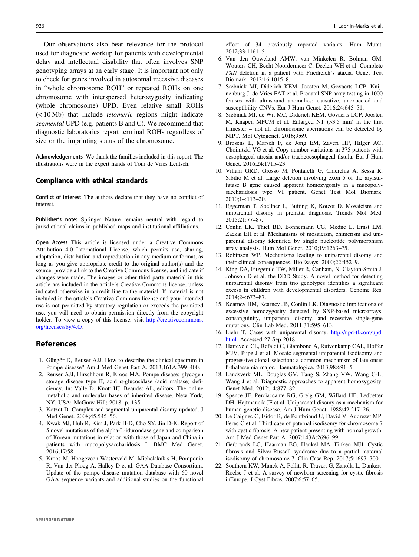<span id="page-7-0"></span>Our observations also bear relevance for the protocol used for diagnostic workup for patients with developmental delay and intellectual disability that often involves SNP genotyping arrays at an early stage. It is important not only to check for genes involved in autosomal recessive diseases in "whole chromosome ROH" or repeated ROHs on one chromosome with interspersed heterozygosity indicating (whole chromosome) UPD. Even relative small ROHs (< 10 Mb) that include telomeric regions might indicate segmental UPD (e.g. patients B and C). We recommend that diagnostic laboratories report terminal ROHs regardless of size or the imprinting status of the chromosome.

Acknowledgements We thank the families included in this report. The illustrations were in the expert hands of Tom de Vries Lentsch.

#### Compliance with ethical standards

Conflict of interest The authors declare that they have no conflict of interest.

Publisher's note: Springer Nature remains neutral with regard to jurisdictional claims in published maps and institutional affiliations.

Open Access This article is licensed under a Creative Commons Attribution 4.0 International License, which permits use, sharing, adaptation, distribution and reproduction in any medium or format, as long as you give appropriate credit to the original author(s) and the source, provide a link to the Creative Commons license, and indicate if changes were made. The images or other third party material in this article are included in the article's Creative Commons license, unless indicated otherwise in a credit line to the material. If material is not included in the article's Creative Commons license and your intended use is not permitted by statutory regulation or exceeds the permitted use, you will need to obtain permission directly from the copyright holder. To view a copy of this license, visit [http://creativecommons.](http://creativecommons.org/licenses/by/4.0/) [org/licenses/by/4.0/.](http://creativecommons.org/licenses/by/4.0/)

# References

- 1. Güngör D, Reuser AJJ. How to describe the clinical spectrum in Pompe disease? Am J Med Genet Part A. 2013;161A:399–400.
- 2. Reuser AJJ, Hirschhorn R, Kroos MA. Pompe disease: glycogen storage disease type II, acid α-glucosidase (acid maltase) deficiency. In: Valle D, Knott HJ, Beaudet AL, editors. The online metabolic and molecular bases of inherited disease. New York, NY, USA: McGraw-Hill; 2018. p. 135.
- 3. Kotzot D. Complex and segmental uniparental disomy updated. J Med Genet. 2008;45:545–56.
- 4. Kwak MJ, Huh R, Kim J, Park H-D, Cho SY, Jin D-K. Report of 5 novel mutations of the alpha-L-idurondase gene and comparison of Korean mutations in relation with those of Japan and China in patients with mucopolysaccharidosis I. BMC Med Genet. 2016;17:58.
- 5. Kroos M, Hoogeveen-Westerveld M, Michelakakis H, Pomponio R, Van der Ploeg A, Halley D et al. GAA Database Consortium. Update of the pompe disease mutation database with 60 novel GAA sequence variants and additional studies on the functional

effect of 34 previously reported variants. Hum Mutat. 2012;33:1161–5.

- 6. Van den Ouweland AMW, van Minkelen R, Bolman GM, Wouters CH, Becht-Noordermeer C, Deelen WH et al. Complete FXN deletion in a patient with Friedreich's ataxia. Genet Test Biomark. 2012;16:1015–8.
- 7. Srebniak MI, Diderich KEM, Joosten M, Govaerts LCP, Knijnenburg J, de Vries FAT et al. Prenatal SNP array testing in 1000 fetuses with ultrasound anomalies: causative, unexpected and susceptibility CNVs. Eur J Hum Genet. 2016;24:645–51.
- 8. Srebniak MI, de Wit MC, Diderich KEM, Govaerts LCP, Joosten M, Knapen MFCM et al. Enlarged NT (>3.5 mm) in the first trimester – not all chromosome aberrations can be detected by NIPT. Mol Cytogenet. 2016;9:69.
- 9. Brosens E, Marsch F, de Jong EM, Zaveri HP, Hilger AC, Choinitzki VG et al. Copy number variations in 375 patients with oesophageal atresia and/or tracheoesophageal fistula. Eur J Hum Genet. 2016;24:1715–23.
- 10. Villani GRD, Grosso M, Pontarelli G, Chierchia A, Sessa R, Sibilio M et al. Large deletion involving exon 5 of the arylsulfatase B gene caused apparent homozygosity in a mucopolysaccharidosis type VI patient. Genet Test Mol Biomark. 2010;14:113–20.
- 11. Eggerman T, Soellner L, Buiting K, Kotzot D. Mosaicism and uniparental disomy in prenatal diagnosis. Trends Mol Med. 2015;21:77–87.
- 12. Conlin LK, Thiel BD, Bonnemann CG, Medne L, Ernst LM, Zackai EH et al. Mechanisms of mosaicism, chimerism and uniparental disomy identified by single nucleotide polymorphism array analysis. Hum Mol Genet. 2010;19:1263–75.
- 13. Robinson WP. Mechanisms leading to uniparental disomy and their clinical consequences. BioEssays. 2000;22:452–9.
- 14. King DA, Fitzgerald TW, Miller R, Canham, N, Clayton-Smith J, Johnson D et al. the DDD Study. A novel method for detecting uniparental disomy from trio genotypes identifies a significant excess in children with developmental disorders. Genome Res. 2014;24:673–87.
- 15. Kearney HM, Kearney JB, Conlin LK. Diagnostic implications of excessive homozygosity detected by SNP-based microarrays: consanguinity, uniparental disomy, and recessive single-gene mutations. Clin Lab Med. 2011;31:595–613.
- 16. Liehr T. Cases with uniparental disomy. [http://upd-tl.com/upd.](http://upd-tl.com/upd.html) [html](http://upd-tl.com/upd.html). Accessed 27 Sep 2018.
- 17. Harteveld CL, Refaldi C, Giambono A, Ruivenkamp CAL, Hoffer MJV, Pijpe J et al. Mosaic segmental uniparental isodisomy and progressive clonal selection: a common mechanism of late onset ß-thalassemia major. Haematologica. 2013;98:691–5.
- 18. Landsverk ML, Douglas GV, Tang S, Zhang VW, Wang G-L, Wang J et al. Diagnostic approaches to apparent homozygosity. Genet Med. 2012;14:877–82.
- 19. Spence JE, Perciaccante RG, Greig GM, Willard HF, Ledbetter DH, Hejtmancik JF et al. Uniparental disomy as a mechanism for human genetic disease. Am J Hum Genet. 1988;42:217–26.
- 20. Le Caignec C, Isidor B, de Pontbriand U, David V, Audrezet MP, Ferec C et al. Third case of paternal isodisomy for chromosome 7 with cystic fibrosis: A new patient presenting with normal growth. Am J Med Genet Part A. 2007;143A:2696–99.
- 21. Gerbrands LC, Haarman EG, Hankel MA, Finken MJJ. Cystic fibrosis and Silver-Russell syndrome due to a partial maternal isodisomy of chromosome 7. Clin Case Rep. 2017;5:1697–700.
- 22. Southern KW, Munck A, Pollitt R, Travert G, Zanolla L, Dankert-Roelse J et al. A survey of newborn screening for cystic fibrosis inEurope. J Cyst Fibros. 2007;6:57–65.